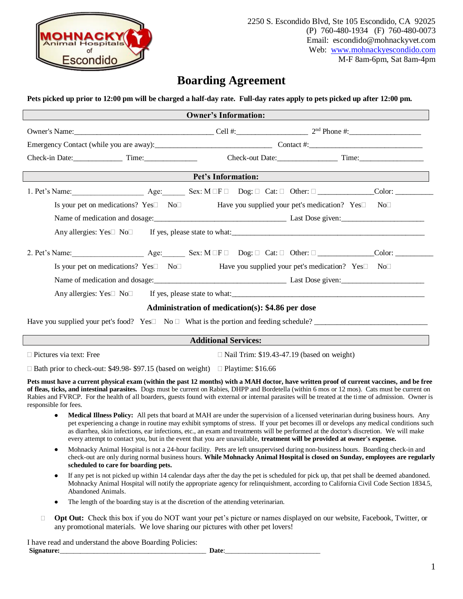

2250 S. Escondido Blvd, Ste 105 Escondido, CA 92025 (P) 760-480-1934 (F) 760-480-0073 Email: escondido@mohnackyvet.com Web: [www.](http://www.mohnackycarlsbad.com/)mohnackyescondido.com M-F 8am-6pm, Sat 8am-4pm

## **Boarding Agreement**

**Pets picked up prior to 12:00 pm will be charged a half-day rate. Full-day rates apply to pets picked up after 12:00 pm.** 

| <b>Owner's Information:</b>                                                                                                                                                                                                                                                                                                                                                                                                                                                     |                                                                                                                                                                                                                                                                                                                                                                                                                                                                                                                                                |  |
|---------------------------------------------------------------------------------------------------------------------------------------------------------------------------------------------------------------------------------------------------------------------------------------------------------------------------------------------------------------------------------------------------------------------------------------------------------------------------------|------------------------------------------------------------------------------------------------------------------------------------------------------------------------------------------------------------------------------------------------------------------------------------------------------------------------------------------------------------------------------------------------------------------------------------------------------------------------------------------------------------------------------------------------|--|
|                                                                                                                                                                                                                                                                                                                                                                                                                                                                                 |                                                                                                                                                                                                                                                                                                                                                                                                                                                                                                                                                |  |
|                                                                                                                                                                                                                                                                                                                                                                                                                                                                                 |                                                                                                                                                                                                                                                                                                                                                                                                                                                                                                                                                |  |
| Check-in Date: Time: Time: Time: Check-out Date: Time: Time:                                                                                                                                                                                                                                                                                                                                                                                                                    |                                                                                                                                                                                                                                                                                                                                                                                                                                                                                                                                                |  |
| Pet's Information:                                                                                                                                                                                                                                                                                                                                                                                                                                                              |                                                                                                                                                                                                                                                                                                                                                                                                                                                                                                                                                |  |
| 1. Pet's Name: $\begin{array}{c c} \text{Age:} & \text{Sex: } M \square F \square \quad \text{Dog: } \square \quad \text{Cat: } \square \quad \text{Other: } \square \quad \text{Color: } \square \end{array}$                                                                                                                                                                                                                                                                  |                                                                                                                                                                                                                                                                                                                                                                                                                                                                                                                                                |  |
|                                                                                                                                                                                                                                                                                                                                                                                                                                                                                 | Is your pet on medications? Yes□ No□ Have you supplied your pet's medication? Yes□ No□                                                                                                                                                                                                                                                                                                                                                                                                                                                         |  |
|                                                                                                                                                                                                                                                                                                                                                                                                                                                                                 |                                                                                                                                                                                                                                                                                                                                                                                                                                                                                                                                                |  |
|                                                                                                                                                                                                                                                                                                                                                                                                                                                                                 |                                                                                                                                                                                                                                                                                                                                                                                                                                                                                                                                                |  |
| 2. Pet's Name: Age: Sex: M IF Dog: I Cat: I Other: I Color: Color: ______________                                                                                                                                                                                                                                                                                                                                                                                               |                                                                                                                                                                                                                                                                                                                                                                                                                                                                                                                                                |  |
|                                                                                                                                                                                                                                                                                                                                                                                                                                                                                 | Is your pet on medications? Yes $\square$ No $\square$ And Have you supplied your pet's medication? Yes $\square$ No $\square$                                                                                                                                                                                                                                                                                                                                                                                                                 |  |
|                                                                                                                                                                                                                                                                                                                                                                                                                                                                                 | Name of medication and dosage:<br><u>Last Dose given:</u>                                                                                                                                                                                                                                                                                                                                                                                                                                                                                      |  |
|                                                                                                                                                                                                                                                                                                                                                                                                                                                                                 |                                                                                                                                                                                                                                                                                                                                                                                                                                                                                                                                                |  |
| Administration of medication(s): \$4.86 per dose                                                                                                                                                                                                                                                                                                                                                                                                                                |                                                                                                                                                                                                                                                                                                                                                                                                                                                                                                                                                |  |
| Have you supplied your pet's food? Yes $\square$ No $\square$ What is the portion and feeding schedule?                                                                                                                                                                                                                                                                                                                                                                         |                                                                                                                                                                                                                                                                                                                                                                                                                                                                                                                                                |  |
| Additional Services:                                                                                                                                                                                                                                                                                                                                                                                                                                                            |                                                                                                                                                                                                                                                                                                                                                                                                                                                                                                                                                |  |
| $\Box$ Pictures via text: Free                                                                                                                                                                                                                                                                                                                                                                                                                                                  | $\Box$ Nail Trim: \$19.43-47.19 (based on weight)                                                                                                                                                                                                                                                                                                                                                                                                                                                                                              |  |
| $\Box$ Bath prior to check-out: \$49.98-\$97.15 (based on weight) $\Box$ Playtime: \$16.66                                                                                                                                                                                                                                                                                                                                                                                      |                                                                                                                                                                                                                                                                                                                                                                                                                                                                                                                                                |  |
| Pets must have a current physical exam (within the past 12 months) with a MAH doctor, have written proof of current vaccines, and be free<br>of fleas, ticks, and intestinal parasites. Dogs must be current on Rabies, DHPP and Bordetella (within 6 mos or 12 mos). Cats must be current on<br>Rabies and FVRCP. For the health of all boarders, guests found with external or internal parasites will be treated at the time of admission. Owner is<br>responsible for fees. |                                                                                                                                                                                                                                                                                                                                                                                                                                                                                                                                                |  |
| $\bullet$                                                                                                                                                                                                                                                                                                                                                                                                                                                                       | Medical Illness Policy: All pets that board at MAH are under the supervision of a licensed veterinarian during business hours. Any<br>pet experiencing a change in routine may exhibit symptoms of stress. If your pet becomes ill or develops any medical conditions such<br>as diarrhea, skin infections, ear infections, etc., an exam and treatments will be performed at the doctor's discretion. We will make<br>every attempt to contact you, but in the event that you are unavailable, treatment will be provided at owner's expense. |  |
| $\bullet$<br>scheduled to care for boarding pets.                                                                                                                                                                                                                                                                                                                                                                                                                               | Mohnacky Animal Hospital is not a 24-hour facility. Pets are left unsupervised during non-business hours. Boarding check-in and<br>check-out are only during normal business hours. While Mohnacky Animal Hospital is closed on Sunday, employees are regularly                                                                                                                                                                                                                                                                                |  |

- If any pet is not picked up within 14 calendar days after the day the pet is scheduled for pick up, that pet shall be deemed abandoned. Mohnacky Animal Hospital will notify the appropriate agency for relinquishment, according to California Civil Code Section 1834.5, Abandoned Animals.
- The length of the boarding stay is at the discretion of the attending veterinarian.
- **Opt Out:** Check this box if you do NOT want your pet's picture or names displayed on our website, Facebook, Twitter, or any promotional materials. We love sharing our pictures with other pet lovers!

I have read and understand the above Boarding Policies: **Signature:**\_\_\_\_\_\_\_\_\_\_\_\_\_\_\_\_\_\_\_\_\_\_\_\_\_\_\_\_\_\_\_\_\_\_\_\_\_\_\_\_\_\_\_ **Date**:\_\_\_\_\_\_\_\_\_\_\_\_\_\_\_\_\_\_\_\_\_\_\_\_\_\_\_\_

1